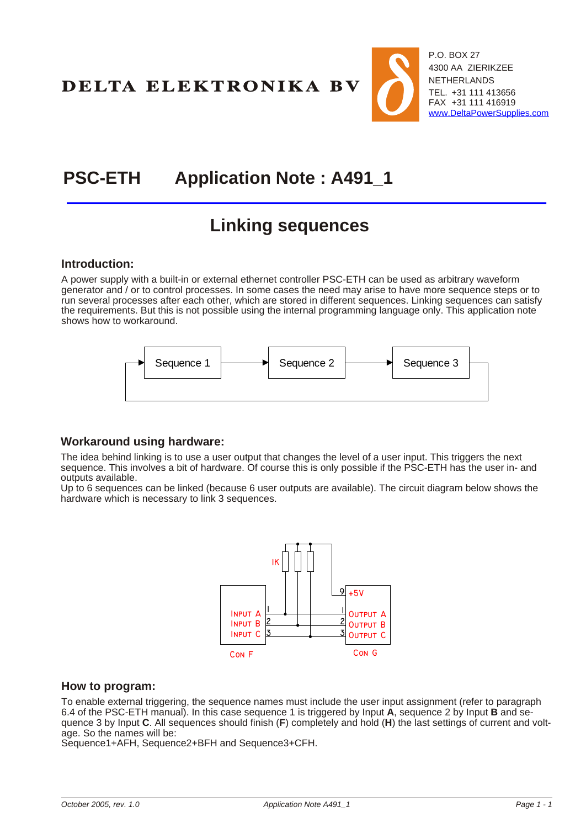DELTA ELEKTRONIKA BV



# **PSC-ETH Application Note : A491\_1**

# **Link ing se quences**

#### **Introduction:**

A power supply with a built-in or external ethernet controller PSC-ETH can be used as arbitrary waveform generator and / or to control processes. In some cases the need may arise to have more sequence steps or to run several processes after each other, which are stored in different sequences. Linking sequences can satisfy the requirements. But this is not possible using the internal programming language only. This application note shows how to workaround.



### **Workaround using hardware:**

The idea behind linking is to use a user output that changes the level of a user input. This triggers the next sequence. This involves a bit of hardware. Of course this is only possible if the PSC-ETH has the user in- and outputs available.

Up to 6 sequences can be linked (because 6 user outputs are available). The circuit diagram below shows the hardware which is necessary to link 3 sequences.



#### **How to program:**

To enable external triggering, the sequence names must include the user input assignment (refer to paragraph 6.4 of the PSC-ETH manual). In this case sequence 1 is triggered by Input **A**, sequence 2 by Input **B** and sequence 3 by Input **C**. All sequences should finish (**F**) completely and hold (**H**) the last settings of current and voltage. So the names will be:

Sequence1+AFH, Sequence2+BFH and Sequence3+CFH.